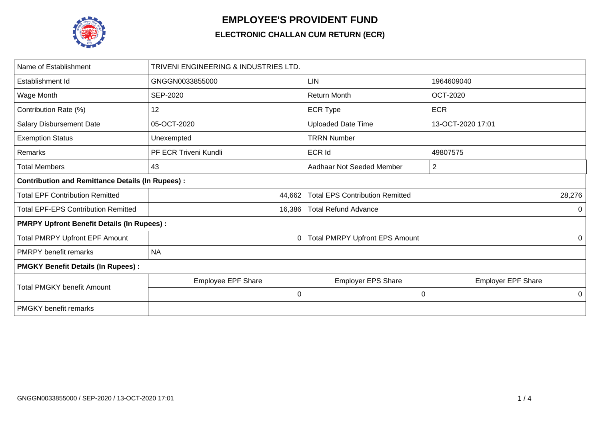

## **EMPLOYEE'S PROVIDENT FUND**

## **ELECTRONIC CHALLAN CUM RETURN (ECR)**

| Name of Establishment                                   | TRIVENI ENGINEERING & INDUSTRIES LTD. |                                        |                           |  |  |  |  |  |  |
|---------------------------------------------------------|---------------------------------------|----------------------------------------|---------------------------|--|--|--|--|--|--|
| Establishment Id                                        | GNGGN0033855000                       | <b>LIN</b>                             | 1964609040                |  |  |  |  |  |  |
| Wage Month                                              | <b>SEP-2020</b>                       | <b>Return Month</b>                    | <b>OCT-2020</b>           |  |  |  |  |  |  |
| Contribution Rate (%)                                   | 12                                    | <b>ECR Type</b>                        | <b>ECR</b>                |  |  |  |  |  |  |
| <b>Salary Disbursement Date</b>                         | 05-OCT-2020                           | <b>Uploaded Date Time</b>              | 13-OCT-2020 17:01         |  |  |  |  |  |  |
| <b>Exemption Status</b>                                 | Unexempted                            | <b>TRRN Number</b>                     |                           |  |  |  |  |  |  |
| Remarks                                                 | PF ECR Triveni Kundli                 | <b>ECR Id</b>                          | 49807575                  |  |  |  |  |  |  |
| Total Members                                           | 43                                    | Aadhaar Not Seeded Member              | $\overline{2}$            |  |  |  |  |  |  |
| <b>Contribution and Remittance Details (In Rupees):</b> |                                       |                                        |                           |  |  |  |  |  |  |
| <b>Total EPF Contribution Remitted</b>                  | 44,662                                | <b>Total EPS Contribution Remitted</b> | 28,276                    |  |  |  |  |  |  |
| <b>Total EPF-EPS Contribution Remitted</b>              | 16,386                                | <b>Total Refund Advance</b>            |                           |  |  |  |  |  |  |
| <b>PMRPY Upfront Benefit Details (In Rupees):</b>       |                                       |                                        |                           |  |  |  |  |  |  |
| <b>Total PMRPY Upfront EPF Amount</b>                   | 0                                     | <b>Total PMRPY Upfront EPS Amount</b>  |                           |  |  |  |  |  |  |
| <b>PMRPY benefit remarks</b>                            | <b>NA</b>                             |                                        |                           |  |  |  |  |  |  |
| <b>PMGKY Benefit Details (In Rupees):</b>               |                                       |                                        |                           |  |  |  |  |  |  |
| <b>Total PMGKY benefit Amount</b>                       | <b>Employee EPF Share</b>             | <b>Employer EPS Share</b>              | <b>Employer EPF Share</b> |  |  |  |  |  |  |
|                                                         | $\pmb{0}$                             | $\mathbf 0$                            | 0                         |  |  |  |  |  |  |
| <b>PMGKY</b> benefit remarks                            |                                       |                                        |                           |  |  |  |  |  |  |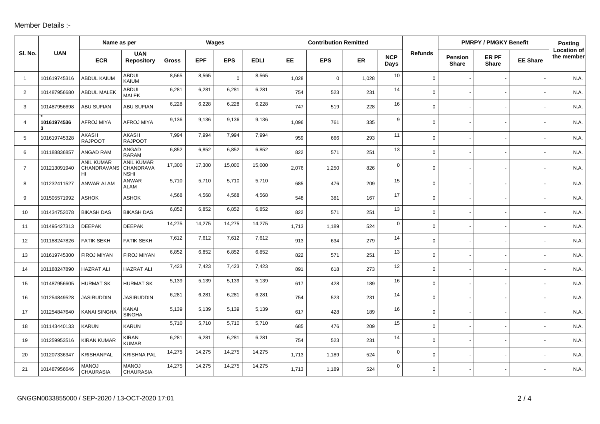## Member Details :-

|                |                  | Name as per                            |                                               | Wages        |            |             | <b>Contribution Remitted</b> |       |             |           |                    | <b>PMRPY / PMGKY Benefit</b> |                                |                       | <b>Posting</b>  |                                  |
|----------------|------------------|----------------------------------------|-----------------------------------------------|--------------|------------|-------------|------------------------------|-------|-------------|-----------|--------------------|------------------------------|--------------------------------|-----------------------|-----------------|----------------------------------|
| SI. No.        | <b>UAN</b>       | <b>ECR</b>                             | <b>UAN</b><br><b>Repository</b>               | <b>Gross</b> | <b>EPF</b> | <b>EPS</b>  | <b>EDLI</b>                  | EE    | <b>EPS</b>  | <b>ER</b> | <b>NCP</b><br>Days | <b>Refunds</b>               | <b>Pension</b><br><b>Share</b> | ER PF<br><b>Share</b> | <b>EE Share</b> | <b>Location of</b><br>the member |
| $\overline{1}$ | 101619745316     | <b>ABDUL KAIUM</b>                     | <b>ABDUL</b><br>KAIUM                         | 8,565        | 8,565      | $\mathbf 0$ | 8,565                        | 1,028 | $\mathbf 0$ | 1,028     | 10                 | $\mathbf 0$                  |                                |                       |                 | N.A.                             |
| $\overline{2}$ | 101487956680     | <b>ABDUL MALEK</b>                     | <b>ABDUL</b><br><b>MALEK</b>                  | 6,281        | 6,281      | 6,281       | 6,281                        | 754   | 523         | 231       | 14                 | 0                            |                                |                       |                 | N.A.                             |
| 3              | 101487956698     | <b>ABU SUFIAN</b>                      | ABU SUFIAN                                    | 6,228        | 6,228      | 6,228       | 6,228                        | 747   | 519         | 228       | 16                 | $\Omega$                     |                                |                       |                 | N.A.                             |
| 4              | 10161974536<br>3 | AFROJ MIYA                             | <b>AFROJ MIYA</b>                             | 9,136        | 9,136      | 9,136       | 9,136                        | 1,096 | 761         | 335       | 9                  | 0                            |                                |                       |                 | N.A.                             |
| 5              | 101619745328     | AKASH<br><b>RAJPOOT</b>                | AKASH<br><b>RAJPOOT</b>                       | 7,994        | 7,994      | 7,994       | 7,994                        | 959   | 666         | 293       | 11                 | $\overline{0}$               |                                |                       |                 | N.A.                             |
| 6              | 101188836857     | <b>ANGAD RAM</b>                       | ANGAD<br><b>RARAM</b>                         | 6,852        | 6,852      | 6,852       | 6,852                        | 822   | 571         | 251       | 13                 | $\mathbf 0$                  |                                |                       |                 | N.A.                             |
| $\overline{7}$ | 101213091940     | <b>ANIL KUMAR</b><br>CHANDRAVANS<br>HI | <b>ANIL KUMAR</b><br>CHANDRAVA<br><b>NSHI</b> | 17,300       | 17,300     | 15,000      | 15,000                       | 2,076 | 1,250       | 826       | $\mathbf 0$        | $\Omega$                     |                                |                       |                 | N.A.                             |
| 8              | 101232411527     | ANWAR ALAM                             | ANWAR<br>ALAM                                 | 5,710        | 5,710      | 5,710       | 5,710                        | 685   | 476         | 209       | 15                 | 0                            |                                |                       |                 | N.A                              |
| 9              | 101505571992     | <b>ASHOK</b>                           | <b>ASHOK</b>                                  | 4,568        | 4,568      | 4,568       | 4,568                        | 548   | 381         | 167       | 17                 | $\mathbf 0$                  |                                |                       |                 | N.A.                             |
| 10             | 101434752078     | <b>BIKASH DAS</b>                      | <b>BIKASH DAS</b>                             | 6,852        | 6,852      | 6,852       | 6,852                        | 822   | 571         | 251       | 13                 | 0                            |                                |                       |                 | N.A.                             |
| 11             | 101495427313     | <b>DEEPAK</b>                          | <b>DEEPAK</b>                                 | 14,275       | 14,275     | 14,275      | 14,275                       | 1,713 | 1,189       | 524       | $\mathbf 0$        | $\Omega$                     |                                |                       |                 | N.A                              |
| 12             | 101188247826     | <b>FATIK SEKH</b>                      | <b>FATIK SEKH</b>                             | 7,612        | 7,612      | 7,612       | 7,612                        | 913   | 634         | 279       | 14                 | $\mathbf 0$                  |                                |                       |                 | N.A.                             |
| 13             | 101619745300     | FIROJ MIYAN                            | FIROJ MIYAN                                   | 6,852        | 6,852      | 6,852       | 6,852                        | 822   | 571         | 251       | 13                 | $\mathbf 0$                  |                                |                       |                 | N.A.                             |
| 14             | 101188247890     | <b>HAZRAT ALI</b>                      | <b>HAZRAT ALI</b>                             | 7,423        | 7,423      | 7,423       | 7,423                        | 891   | 618         | 273       | 12                 | 0                            |                                |                       |                 | N.A.                             |
| 15             | 101487956605     | <b>HURMAT SK</b>                       | <b>HURMAT SK</b>                              | 5,139        | 5,139      | 5,139       | 5,139                        | 617   | 428         | 189       | 16                 | 0                            |                                |                       |                 | N.A.                             |
| 16             | 101254849528     | <b>JASIRUDDIN</b>                      | <b>JASIRUDDIN</b>                             | 6,281        | 6,281      | 6,281       | 6,281                        | 754   | 523         | 231       | 14                 | 0                            |                                |                       |                 | N.A                              |
| 17             | 101254847640     | <b>KANAI SINGHA</b>                    | KANAI<br><b>SINGHA</b>                        | 5,139        | 5,139      | 5,139       | 5,139                        | 617   | 428         | 189       | 16                 | $\mathbf 0$                  |                                |                       |                 | N.A.                             |
| 18             | 101143440133     | <b>KARUN</b>                           | <b>KARUN</b>                                  | 5,710        | 5,710      | 5,710       | 5,710                        | 685   | 476         | 209       | 15                 | $\Omega$                     |                                |                       |                 | N.A.                             |
| 19             | 101259953516     | <b>KIRAN KUMAR</b>                     | <b>KIRAN</b><br><b>KUMAR</b>                  | 6,281        | 6,281      | 6,281       | 6,281                        | 754   | 523         | 231       | 14                 | $\mathbf 0$                  |                                |                       |                 | N.A.                             |
| 20             | 101207336347     | <b>KRISHANPAL</b>                      | <b>KRISHNA PAL</b>                            | 14,275       | 14,275     | 14,275      | 14,275                       | 1,713 | 1,189       | 524       | $\mathbf 0$        | 0                            |                                |                       |                 | N.A.                             |
| 21             | 101487956646     | <b>MANOJ</b><br><b>CHAURASIA</b>       | <b>MANOJ</b><br><b>CHAURASIA</b>              | 14,275       | 14,275     | 14,275      | 14,275                       | 1,713 | 1,189       | 524       | $\mathbf 0$        | 0                            |                                |                       |                 | N.A.                             |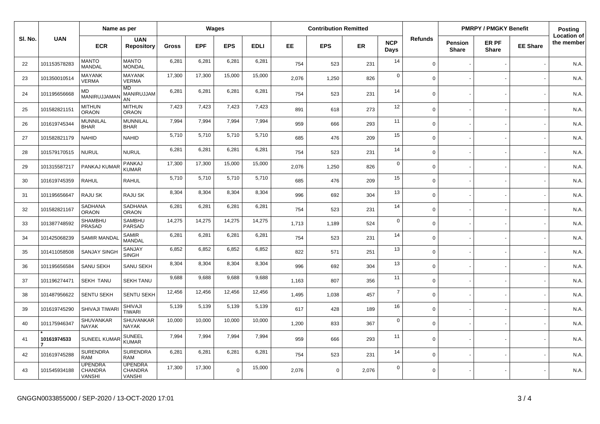|         |              | Name as per                                       |                                                   | Wages        |            |            | <b>Contribution Remitted</b> |       |             |           |                    | <b>PMRPY / PMGKY Benefit</b> |                         |                       | Posting         |                                  |
|---------|--------------|---------------------------------------------------|---------------------------------------------------|--------------|------------|------------|------------------------------|-------|-------------|-----------|--------------------|------------------------------|-------------------------|-----------------------|-----------------|----------------------------------|
| SI. No. | <b>UAN</b>   | <b>ECR</b>                                        | <b>UAN</b><br><b>Repository</b>                   | <b>Gross</b> | <b>EPF</b> | <b>EPS</b> | <b>EDLI</b>                  | EE.   | <b>EPS</b>  | <b>ER</b> | <b>NCP</b><br>Days | <b>Refunds</b>               | Pension<br><b>Share</b> | ER PF<br><b>Share</b> | <b>EE Share</b> | <b>Location of</b><br>the member |
| 22      | 101153578283 | <b>MANTO</b><br>MANDAL                            | <b>MANTO</b><br><b>MONDAL</b>                     | 6,281        | 6,281      | 6,281      | 6,281                        | 754   | 523         | 231       | 14                 | $\mathbf 0$                  |                         |                       |                 | N.A.                             |
| 23      | 101350010514 | <b>MAYANK</b><br><b>VERMA</b>                     | <b>MAYANK</b><br><b>VERMA</b>                     | 17,300       | 17,300     | 15,000     | 15,000                       | 2,076 | 1,250       | 826       | $\mathbf 0$        | $\Omega$                     |                         |                       |                 | N.A.                             |
| 24      | 101195656668 | MD<br>MANIRUJJAMAI                                | MD<br>MANIRUJJAM<br>AN                            | 6,281        | 6,281      | 6,281      | 6,281                        | 754   | 523         | 231       | 14                 | $\Omega$                     |                         |                       |                 | N.A.                             |
| 25      | 101582821151 | <b>MITHUN</b><br><b>ORAON</b>                     | <b>MITHUN</b><br><b>ORAON</b>                     | 7,423        | 7,423      | 7,423      | 7,423                        | 891   | 618         | 273       | 12                 | $\Omega$                     |                         |                       |                 | N.A.                             |
| 26      | 101619745344 | MUNNILAL<br><b>BHAR</b>                           | MUNNILAL<br><b>BHAR</b>                           | 7,994        | 7,994      | 7,994      | 7,994                        | 959   | 666         | 293       | 11                 | $\mathbf 0$                  |                         |                       |                 | N.A.                             |
| 27      | 101582821179 | <b>NAHID</b>                                      | <b>NAHID</b>                                      | 5,710        | 5,710      | 5,710      | 5,710                        | 685   | 476         | 209       | 15                 | $\Omega$                     |                         |                       |                 | N.A.                             |
| 28      | 101579170515 | <b>NURUL</b>                                      | <b>NURUL</b>                                      | 6,281        | 6,281      | 6,281      | 6,281                        | 754   | 523         | 231       | 14                 | $\Omega$                     |                         |                       |                 | N.A.                             |
| 29      | 101315587217 | PANKAJ KUMA                                       | PANKAJ<br><b>KUMAR</b>                            | 17,300       | 17,300     | 15,000     | 15,000                       | 2,076 | 1,250       | 826       | $\mathbf 0$        | $\Omega$                     |                         |                       |                 | N.A.                             |
| 30      | 101619745359 | <b>RAHUL</b>                                      | <b>RAHUL</b>                                      | 5,710        | 5,710      | 5,710      | 5,710                        | 685   | 476         | 209       | 15                 | $\Omega$                     |                         |                       |                 | N.A.                             |
| 31      | 101195656647 | RAJU SK                                           | RAJU SK                                           | 8,304        | 8,304      | 8,304      | 8,304                        | 996   | 692         | 304       | 13                 | $\Omega$                     |                         |                       |                 | N.A.                             |
| 32      | 101582821167 | SADHANA<br><b>ORAON</b>                           | SADHANA<br><b>ORAON</b>                           | 6,281        | 6,281      | 6,281      | 6,281                        | 754   | 523         | 231       | 14                 | $\Omega$                     |                         |                       |                 | N.A.                             |
| 33      | 101387748592 | <b>SHAMBHU</b><br>PRASAD                          | <b>SAMBHU</b><br>PARSAD                           | 14,275       | 14,275     | 14,275     | 14,275                       | 1,713 | 1,189       | 524       | $\mathbf 0$        | $\Omega$                     |                         |                       |                 | N.A.                             |
| 34      | 101425068239 | <b>SAMIR MANDA</b>                                | <b>SAMIR</b><br><b>MANDAL</b>                     | 6,281        | 6,281      | 6,281      | 6,281                        | 754   | 523         | 231       | 14                 | $\Omega$                     |                         |                       |                 | N.A.                             |
| 35      | 101411058508 | <b>SANJAY SINGH</b>                               | SANJAY<br><b>SINGH</b>                            | 6,852        | 6,852      | 6,852      | 6,852                        | 822   | 571         | 251       | 13                 | $\Omega$                     |                         |                       |                 | N.A.                             |
| 36      | 101195656584 | SANU SEKH                                         | SANU SEKH                                         | 8,304        | 8,304      | 8,304      | 8,304                        | 996   | 692         | 304       | 13                 | $\Omega$                     |                         |                       |                 | N.A.                             |
| 37      | 101196274471 | <b>SEKH TANU</b>                                  | <b>SEKH TANU</b>                                  | 9,688        | 9,688      | 9,688      | 9,688                        | 1,163 | 807         | 356       | 11                 | $\Omega$                     |                         |                       |                 | N.A.                             |
| 38      | 101487956622 | <b>SENTU SEKH</b>                                 | <b>SENTU SEKH</b>                                 | 12,456       | 12,456     | 12,456     | 12,456                       | 1,495 | 1,038       | 457       | $\overline{7}$     | $\mathbf 0$                  |                         |                       |                 | N.A.                             |
| 39      | 101619745290 | SHIVAJI TIWAR                                     | <b>SHIVAJI</b><br><b>TIWARI</b>                   | 5,139        | 5,139      | 5,139      | 5,139                        | 617   | 428         | 189       | 16                 | $\Omega$                     |                         |                       |                 | N.A.                             |
| 40      | 101175946347 | <b>SHUVANKAR</b><br><b>NAYAK</b>                  | SHUVANKAR<br><b>NAYAK</b>                         | 10,000       | 10,000     | 10,000     | 10,000                       | 1,200 | 833         | 367       | $\mathbf 0$        | $\Omega$                     |                         |                       |                 | N.A.                             |
| 41      | 10161974533  | <b>SUNEEL KUMAR</b>                               | <b>SUNEEL</b><br><b>KUMAR</b>                     | 7,994        | 7,994      | 7,994      | 7,994                        | 959   | 666         | 293       | 11                 | $\Omega$                     |                         |                       |                 | N.A.                             |
| 42      | 101619745288 | <b>SURENDRA</b><br><b>RAM</b>                     | <b>SURENDRA</b><br><b>RAM</b>                     | 6,281        | 6,281      | 6,281      | 6,281                        | 754   | 523         | 231       | 14                 | $\mathbf 0$                  |                         |                       |                 | N.A.                             |
| 43      | 101545934188 | <b>UPENDRA</b><br><b>CHANDRA</b><br><b>VANSHI</b> | <b>UPENDRA</b><br><b>CHANDRA</b><br><b>VANSHI</b> | 17,300       | 17,300     | $\Omega$   | 15,000                       | 2,076 | $\mathbf 0$ | 2,076     | $\mathbf 0$        | $\mathbf 0$                  |                         |                       |                 | N.A.                             |